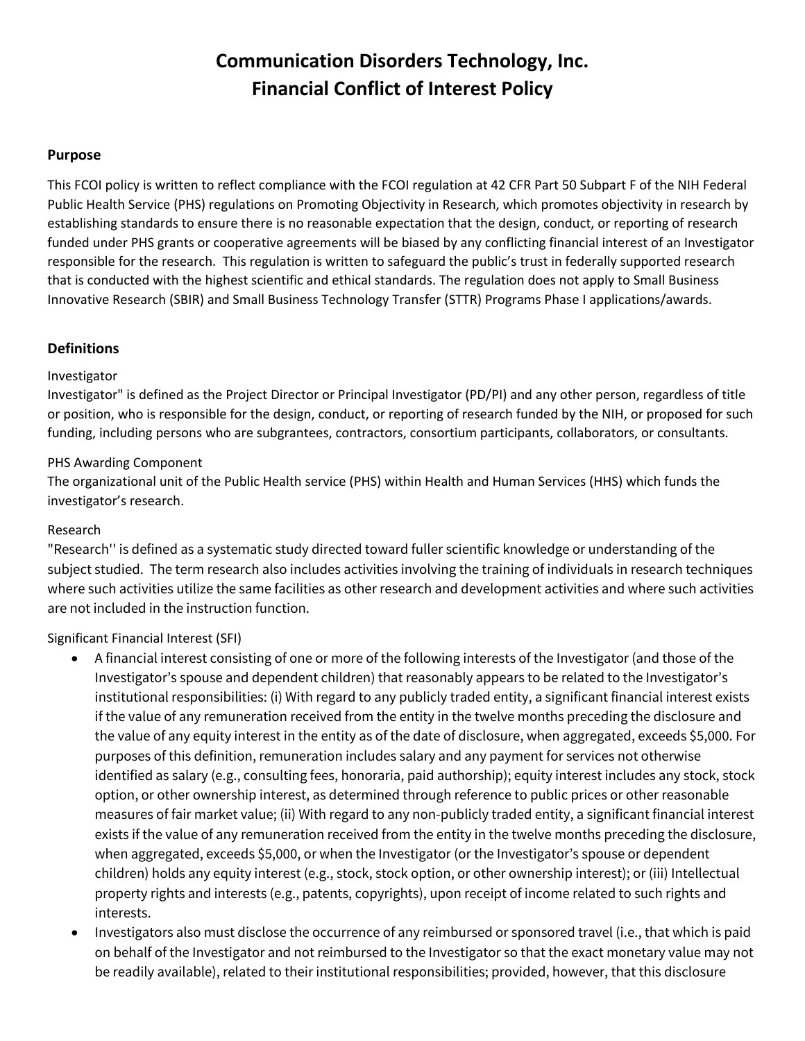# **Communication Disorders Technology, Inc. Financial Conflict of Interest Policy**

#### **Purpose**

This FCOI policy is written to reflect compliance with the FCOI regulation at 42 CFR Part 50 Subpart F of the NIH Federal Public Health Service (PHS) regulations on Promoting Objectivity in Research, which promotes objectivity in research by establishing standards to ensure there is no reasonable expectation that the design, conduct, or reporting of research funded under PHS grants or cooperative agreements will be biased by any conflicting financial interest of an Investigator responsible for the research. This regulation is written to safeguard the public's trust in federally supported research that is conducted with the highest scientific and ethical standards. The regulation does not apply to Small Business Innovative Research (SBIR) and Small Business Technology Transfer (STTR) Programs Phase I applications/awards.

## **Definitions**

#### Investigator

Investigator" is defined as the Project Director or Principal Investigator (PD/PI) and any other person, regardless of title or position, who is responsible for the design, conduct, or reporting of research funded by the NIH, or proposed for such funding, including persons who are subgrantees, contractors, consortium participants, collaborators, or consultants.

#### PHS Awarding Component

The organizational unit of the Public Health service (PHS) within Health and Human Services (HHS) which funds the investigator's research.

#### Research

"Research'' is defined as a systematic study directed toward fuller scientific knowledge or understanding of the subject studied. The term research also includes activities involving the training of individuals in research techniques where such activities utilize the same facilities as other research and development activities and where such activities are not included in the instruction function.

Significant Financial Interest (SFI)

- A financial interest consisting of one or more of the following interests of the Investigator (and those of the Investigator's spouse and dependent children) that reasonably appears to be related to the Investigator's institutional responsibilities: (i) With regard to any publicly traded entity, a significant financial interest exists if the value of any remuneration received from the entity in the twelve months preceding the disclosure and the value of any equity interest in the entity as of the date of disclosure, when aggregated, exceeds \$5,000. For purposes of this definition, remuneration includes salary and any payment for services not otherwise identified as salary (e.g., consulting fees, honoraria, paid authorship); equity interest includes any stock, stock option, or other ownership interest, as determined through reference to public prices or other reasonable measures of fair market value; (ii) With regard to any non-publicly traded entity, a significant financial interest exists if the value of any remuneration received from the entity in the twelve months preceding the disclosure, when aggregated, exceeds \$5,000, or when the Investigator (or the Investigator's spouse or dependent children) holds any equity interest (e.g., stock, stock option, or other ownership interest); or (iii) Intellectual property rights and interests (e.g., patents, copyrights), upon receipt of income related to such rights and interests.
- Investigators also must disclose the occurrence of any reimbursed or sponsored travel (i.e., that which is paid on behalf of the Investigator and not reimbursed to the Investigator so that the exact monetary value may not be readily available), related to their institutional responsibilities; provided, however, that this disclosure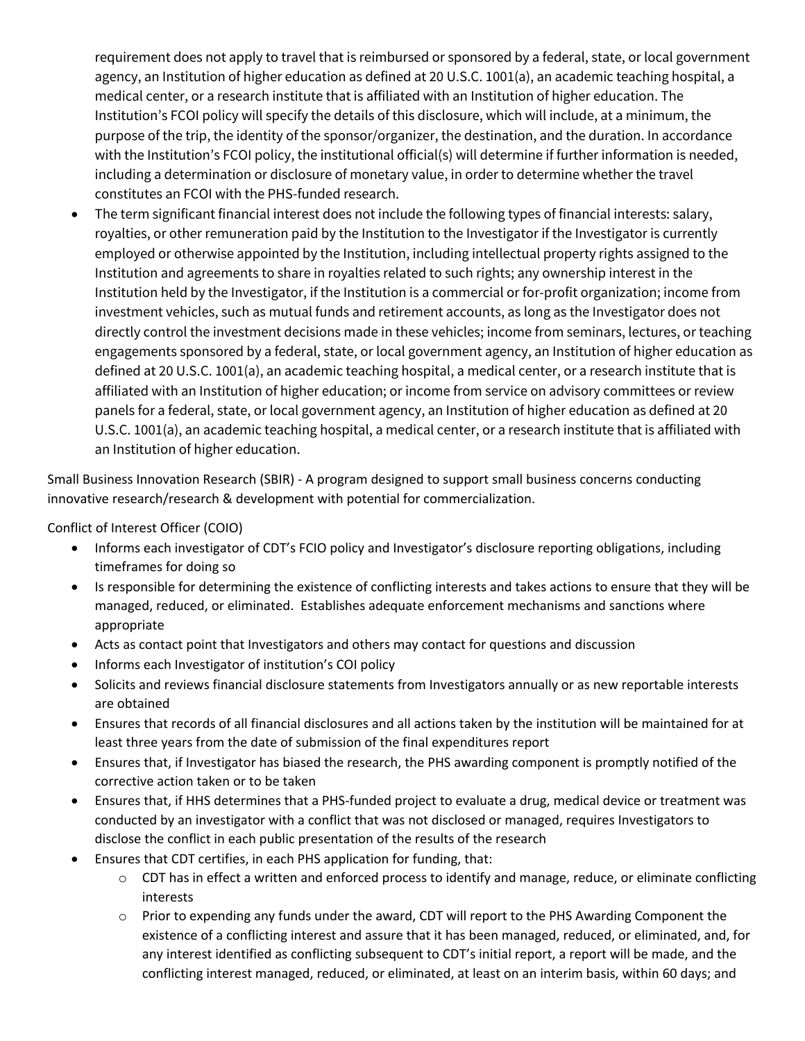requirement does not apply to travel that is reimbursed or sponsored by a federal, state, or local government agency, an Institution of higher education as defined at 20 U.S.C. 1001(a), an academic teaching hospital, a medical center, or a research institute that is affiliated with an Institution of higher education. The Institution's FCOI policy will specify the details of this disclosure, which will include, at a minimum, the purpose of the trip, the identity of the sponsor/organizer, the destination, and the duration. In accordance with the Institution's FCOI policy, the institutional official(s) will determine if further information is needed, including a determination or disclosure of monetary value, in order to determine whether the travel constitutes an FCOI with the PHS-funded research.

• The term significant financial interest does not include the following types of financial interests: salary, royalties, or other remuneration paid by the Institution to the Investigator if the Investigator is currently employed or otherwise appointed by the Institution, including intellectual property rights assigned to the Institution and agreements to share in royalties related to such rights; any ownership interest in the Institution held by the Investigator, if the Institution is a commercial or for-profit organization; income from investment vehicles, such as mutual funds and retirement accounts, as long as the Investigator does not directly control the investment decisions made in these vehicles; income from seminars, lectures, or teaching engagements sponsored by a federal, state, or local government agency, an Institution of higher education as defined at 20 U.S.C. 1001(a), an academic teaching hospital, a medical center, or a research institute that is affiliated with an Institution of higher education; or income from service on advisory committees or review panels for a federal, state, or local government agency, an Institution of higher education as defined at 20 U.S.C. 1001(a), an academic teaching hospital, a medical center, or a research institute that is affiliated with an Institution of higher education.

Small Business Innovation Research (SBIR) - A program designed to support small business concerns conducting innovative research/research & development with potential for commercialization.

Conflict of Interest Officer (COIO)

- Informs each investigator of CDT's FCIO policy and Investigator's disclosure reporting obligations, including timeframes for doing so
- Is responsible for determining the existence of conflicting interests and takes actions to ensure that they will be managed, reduced, or eliminated. Establishes adequate enforcement mechanisms and sanctions where appropriate
- Acts as contact point that Investigators and others may contact for questions and discussion
- Informs each Investigator of institution's COI policy
- Solicits and reviews financial disclosure statements from Investigators annually or as new reportable interests are obtained
- Ensures that records of all financial disclosures and all actions taken by the institution will be maintained for at least three years from the date of submission of the final expenditures report
- Ensures that, if Investigator has biased the research, the PHS awarding component is promptly notified of the corrective action taken or to be taken
- Ensures that, if HHS determines that a PHS-funded project to evaluate a drug, medical device or treatment was conducted by an investigator with a conflict that was not disclosed or managed, requires Investigators to disclose the conflict in each public presentation of the results of the research
- Ensures that CDT certifies, in each PHS application for funding, that:
	- $\circ$  CDT has in effect a written and enforced process to identify and manage, reduce, or eliminate conflicting interests
	- o Prior to expending any funds under the award, CDT will report to the PHS Awarding Component the existence of a conflicting interest and assure that it has been managed, reduced, or eliminated, and, for any interest identified as conflicting subsequent to CDT's initial report, a report will be made, and the conflicting interest managed, reduced, or eliminated, at least on an interim basis, within 60 days; and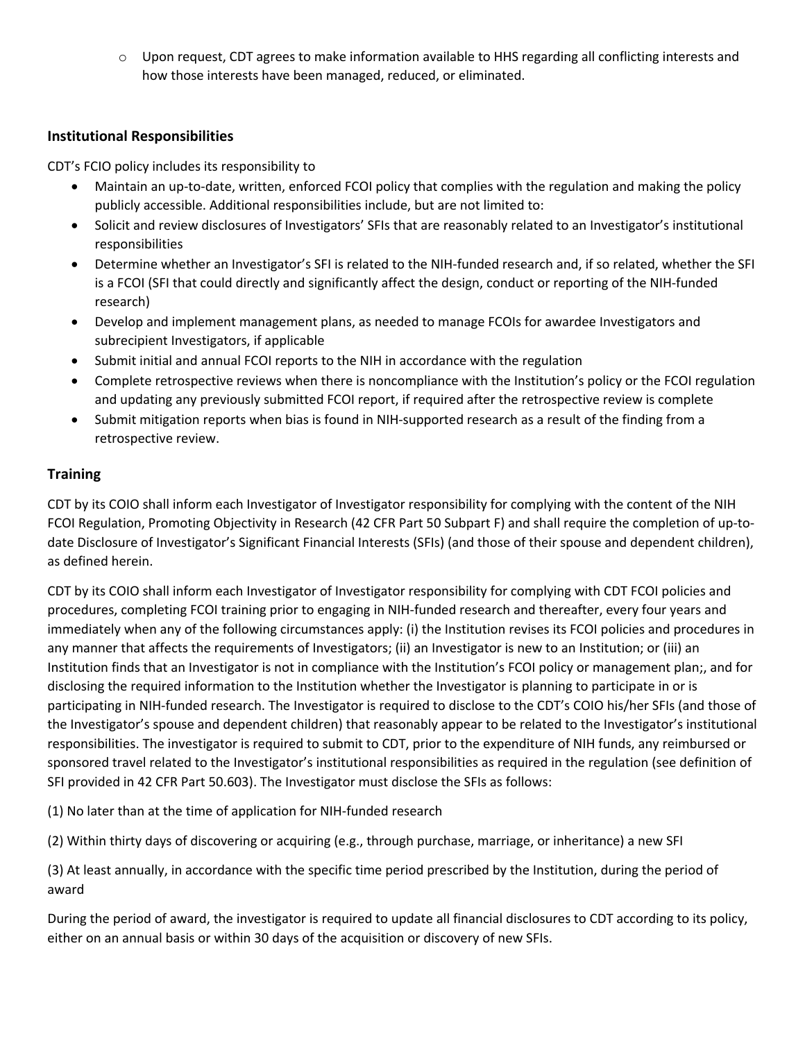o Upon request, CDT agrees to make information available to HHS regarding all conflicting interests and how those interests have been managed, reduced, or eliminated.

#### **Institutional Responsibilities**

CDT's FCIO policy includes its responsibility to

- Maintain an up-to-date, written, enforced FCOI policy that complies with the regulation and making the policy publicly accessible. Additional responsibilities include, but are not limited to:
- Solicit and review disclosures of Investigators' SFIs that are reasonably related to an Investigator's institutional responsibilities
- Determine whether an Investigator's SFI is related to the NIH-funded research and, if so related, whether the SFI is a FCOI (SFI that could directly and significantly affect the design, conduct or reporting of the NIH-funded research)
- Develop and implement management plans, as needed to manage FCOIs for awardee Investigators and subrecipient Investigators, if applicable
- Submit initial and annual FCOI reports to the NIH in accordance with the regulation
- Complete retrospective reviews when there is noncompliance with the Institution's policy or the FCOI regulation and updating any previously submitted FCOI report, if required after the retrospective review is complete
- Submit mitigation reports when bias is found in NIH-supported research as a result of the finding from a retrospective review.

# **Training**

CDT by its COIO shall inform each Investigator of Investigator responsibility for complying with the content of the NIH FCOI Regulation, Promoting Objectivity in Research (42 CFR Part 50 Subpart F) and shall require the completion of up-todate Disclosure of Investigator's Significant Financial Interests (SFIs) (and those of their spouse and dependent children), as defined herein.

CDT by its COIO shall inform each Investigator of Investigator responsibility for complying with CDT FCOI policies and procedures, completing FCOI training prior to engaging in NIH-funded research and thereafter, every four years and immediately when any of the following circumstances apply: (i) the Institution revises its FCOI policies and procedures in any manner that affects the requirements of Investigators; (ii) an Investigator is new to an Institution; or (iii) an Institution finds that an Investigator is not in compliance with the Institution's FCOI policy or management plan;, and for disclosing the required information to the Institution whether the Investigator is planning to participate in or is participating in NIH-funded research. The Investigator is required to disclose to the CDT's COIO his/her SFIs (and those of the Investigator's spouse and dependent children) that reasonably appear to be related to the Investigator's institutional responsibilities. The investigator is required to submit to CDT, prior to the expenditure of NIH funds, any reimbursed or sponsored travel related to the Investigator's institutional responsibilities as required in the regulation (see definition of SFI provided in 42 CFR Part 50.603). The Investigator must disclose the SFIs as follows:

(1) No later than at the time of application for NIH-funded research

(2) Within thirty days of discovering or acquiring (e.g., through purchase, marriage, or inheritance) a new SFI

(3) At least annually, in accordance with the specific time period prescribed by the Institution, during the period of award

During the period of award, the investigator is required to update all financial disclosures to CDT according to its policy, either on an annual basis or within 30 days of the acquisition or discovery of new SFIs.